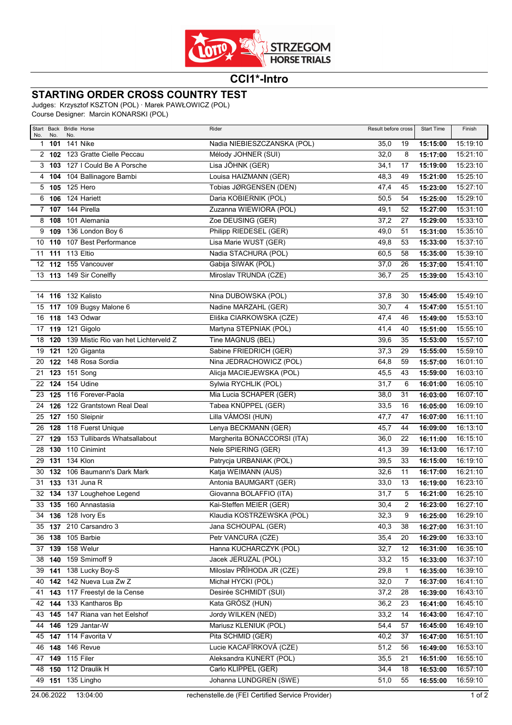

## **CCI1\*-Intro**

## **STARTING ORDER CROSS COUNTRY TEST**

Judges: Krzysztof KSZTON (POL) · Marek PAWŁOWICZ (POL) Course Designer: Marcin KONARSKI (POL)

| No.            | No.              | Start Back Bridle Horse<br>No.              | Rider<br>Result before cross |      | <b>Start Time</b> | Finish   |          |
|----------------|------------------|---------------------------------------------|------------------------------|------|-------------------|----------|----------|
| 1              | 101              | 141 Nike                                    | Nadia NIEBIESZCZANSKA (POL)  | 35,0 | 19                | 15:15:00 | 15:19:10 |
|                | 2, 102           | 123 Gratte Cielle Peccau                    | Mélody JOHNER (SUI)          | 32,0 | 8                 | 15:17:00 | 15:21:10 |
|                |                  | 3 103 127   Could Be A Porsche              | Lisa JÖHNK (GER)             | 34,1 | 17                | 15:19:00 | 15:23:10 |
|                |                  | 4 104 104 Ballinagore Bambi                 | Louisa HAIZMANN (GER)        | 48,3 | 49                | 15:21:00 | 15:25:10 |
|                | 5 105            | 125 Hero                                    | Tobias JØRGENSEN (DEN)       | 47,4 | 45                | 15:23:00 | 15:27:10 |
| 6              | 106              | 124 Hariett                                 | Daria KOBIERNIK (POL)        | 50,5 | 54                | 15:25:00 | 15:29:10 |
| $\overline{7}$ |                  | <b>107</b> 144 Pirella                      | Zuzanna WIEWIORA (POL)       | 49,1 | 52                | 15:27:00 | 15:31:10 |
|                | 8 108            | 101 Alemania                                | Zoe DEUSING (GER)            | 37,2 | 27                | 15:29:00 | 15:33:10 |
|                |                  | 9 109 136 London Boy 6                      | Philipp RIEDESEL (GER)       | 49,0 | 51                | 15:31:00 | 15:35:10 |
| 10             | 110              | 107 Best Performance                        | Lisa Marie WUST (GER)        | 49,8 | 53                | 15:33:00 | 15:37:10 |
| 11             |                  | 111 113 Eltio                               | Nadia STACHURA (POL)         | 60,5 | 58                | 15:35:00 | 15:39:10 |
| 12             |                  | 112 155 Vancouver                           | Gabija SIWAK (POL)           | 37,0 | 26                | 15:37:00 | 15:41:10 |
|                |                  | 13 113 149 Sir Conelfly                     | Miroslav TRUNDA (CZE)        | 36,7 | 25                | 15:39:00 | 15:43:10 |
|                |                  |                                             |                              |      |                   |          |          |
|                |                  | 14 116 132 Kalisto                          | Nina DUBOWSKA (POL)          | 37,8 | 30                | 15:45:00 | 15:49:10 |
|                |                  | 15 117 109 Bugsy Malone 6                   | Nadine MARZAHL (GER)         | 30,7 | 4                 | 15:47:00 | 15:51:10 |
|                |                  | 16 118 143 Odwar                            | Eliška CIARKOWSKA (CZE)      | 47,4 | 46                | 15:49:00 | 15:53:10 |
|                |                  | 17 119 121 Gigolo                           | Martyna STEPNIAK (POL)       | 41,4 | 40                | 15:51:00 | 15:55:10 |
|                |                  | 18 120 139 Mistic Rio van het Lichterveld Z | Tine MAGNUS (BEL)            | 39,6 | 35                | 15:53:00 | 15:57:10 |
| 19             | $\overline{121}$ | 120 Giganta                                 | Sabine FRIEDRICH (GER)       | 37,3 | 29                | 15:55:00 | 15:59:10 |
| 20             |                  | 122 148 Rosa Sordia                         | Nina JEDRACHOWICZ (POL)      | 64,8 | 59                | 15:57:00 | 16:01:10 |
| 21             |                  | 123 151 Song                                | Alicja MACIEJEWSKA (POL)     | 45,5 | 43                | 15:59:00 | 16:03:10 |
| 22             |                  | <b>124</b> 154 Udine                        | Sylwia RYCHLIK (POL)         | 31,7 | 6                 | 16:01:00 | 16:05:10 |
| 23             |                  | 125 116 Forever-Paola                       | Mia Lucia SCHAPER (GER)      | 38,0 | 31                | 16:03:00 | 16:07:10 |
| 24             |                  | 126 122 Grantstown Real Deal                | Tabea KNÜPPEL (GER)          | 33,5 | 16                | 16:05:00 | 16:09:10 |
|                |                  | 25 127 150 Sleipnir                         | Lilla VÁMOSI (HUN)           | 47,7 | 47                | 16:07:00 | 16:11:10 |
| 26             | 128              | 118 Fuerst Unique                           | Lenya BECKMANN (GER)         | 45,7 | 44                | 16:09:00 | 16:13:10 |
| 27             | 129              | 153 Tullibards Whatsallabout                | Margherita BONACCORSI (ITA)  | 36,0 | 22                | 16:11:00 | 16:15:10 |
| 28             | 130              | 110 Cinimint                                | Nele SPIERING (GER)          | 41,3 | 39                | 16:13:00 | 16:17:10 |
| 29             | 131              | 134 Klon                                    | Patrycja URBANIAK (POL)      | 39,5 | 33                | 16:15:00 | 16:19:10 |
| 30             | 132              | 106 Baumann's Dark Mark                     | Katja WEIMANN (AUS)          | 32,6 | 11                | 16:17:00 | 16:21:10 |
|                |                  | 31 133 131 Juna R                           | Antonia BAUMGART (GER)       | 33,0 | 13                | 16:19:00 | 16:23:10 |
| 32             |                  | 134 137 Loughehoe Legend                    | Giovanna BOLAFFIO (ITA)      | 31,7 | 5                 | 16:21:00 | 16:25:10 |
|                |                  | 33 135 160 Annastasia                       | Kai-Steffen MEIER (GER)      | 30,4 | $\overline{c}$    | 16:23:00 | 16:27:10 |
|                |                  | 34 136 128 Ivory Es                         | Klaudia KOSTRZEWSKA (POL)    | 32,3 | 9                 | 16:25:00 | 16:29:10 |
|                | 35 137           | 210 Carsandro 3                             | Jana SCHOUPAL (GER)          | 40,3 | 38                | 16:27:00 | 16:31:10 |
|                |                  | 36 138 105 Barbie                           | Petr VANCURA (CZE)           | 35,4 | 20                | 16:29:00 | 16:33:10 |
|                |                  | 37 139 158 Welur                            | Hanna KUCHARCZYK (POL)       | 32,7 | 12                | 16:31:00 | 16:35:10 |
|                |                  | 38 140 159 Smirnoff 9                       | Jacek JERUZAL (POL)          | 33,2 | 15                | 16:33:00 | 16:37:10 |
|                | $39$ 141         | 138 Lucky Boy-S                             | Miloslav PŘÍHODA JR (CZE)    | 29,8 | 1                 | 16:35:00 | 16:39:10 |
|                |                  | 40 142 142 Nueva Lua Zw Z                   | Michał HYCKI (POL)           | 32,0 | 7                 | 16:37:00 | 16:41:10 |
|                |                  | 41 143 117 Freestyl de la Cense             | Desirée SCHMIDT (SUI)        | 37,2 | 28                | 16:39:00 | 16:43:10 |
|                |                  | 42 144 133 Kantharos Bp                     | Kata GRÓSZ (HUN)             | 36,2 | 23                | 16:41:00 | 16:45:10 |
|                |                  | 43 145 147 Riana van het Eelshof            | Jordy WILKEN (NED)           | 33,2 | 14                | 16:43:00 | 16:47:10 |
|                |                  | 44 146 129 Jantar-W                         | Mariusz KLENIUK (POL)        | 54,4 | 57                | 16:45:00 | 16:49:10 |
|                |                  | 45 147 114 Favorita V                       | Pita SCHMID (GER)            | 40,2 | 37                | 16:47:00 | 16:51:10 |
|                |                  | 46 148 146 Revue                            | Lucie KACAFÍRKOVÁ (CZE)      | 51,2 | 56                | 16:49:00 | 16:53:10 |
|                |                  | 47 149 115 Filer                            | Aleksandra KUNERT (POL)      | 35,5 | 21                | 16:51:00 | 16:55:10 |
|                |                  | 48 150 112 Draulik H                        | Carlo KLIPPEL (GER)          | 34,4 | 18                | 16:53:00 | 16:57:10 |
|                |                  | 49 151 135 Lingho                           | Johanna LUNDGREN (SWE)       | 51,0 | 55                | 16:55:00 | 16:59:10 |